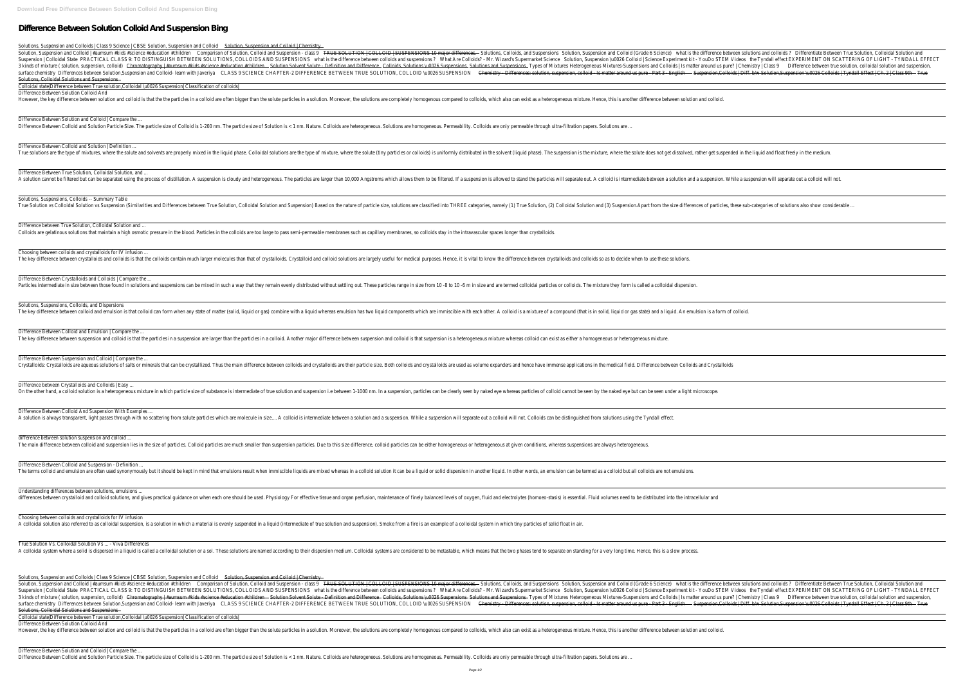# **Difference Between Solution Colloid And Suspension Bing**

| Solutions, Suspension and Colloids   Class 9 Science   CBSE Solution, Suspension and Colloid<br>Solution, Suspension and Colloid   Chemistry                                                                                                                                                                                                                                                                                                                                                                                                                                                                                                                                                                                                                                                                                                                                                                                                                                                                                                                                                                                                                                                                                                                                                                                                                                                                                                                                                       |
|----------------------------------------------------------------------------------------------------------------------------------------------------------------------------------------------------------------------------------------------------------------------------------------------------------------------------------------------------------------------------------------------------------------------------------------------------------------------------------------------------------------------------------------------------------------------------------------------------------------------------------------------------------------------------------------------------------------------------------------------------------------------------------------------------------------------------------------------------------------------------------------------------------------------------------------------------------------------------------------------------------------------------------------------------------------------------------------------------------------------------------------------------------------------------------------------------------------------------------------------------------------------------------------------------------------------------------------------------------------------------------------------------------------------------------------------------------------------------------------------------|
| TRUE SOLUTION   COLLOID   SUSPENSIONS 10 major differences.<br>what is the differe<br>Solution, Suspension and Colloid   #aumsum #kids #science #education #children<br>Comparison of Solution, Colloid and Suspension - class 9<br>Solutions, Colloids, and Suspensions<br>Solution, Suspension and Colloid (Grade 6 Science)<br>PRACTICAL CLASS 9: TO DISTINGUISH BETWEEN SOLUTIONS, COLLOIDS AND SUSPENSIONS<br>Suspension   Colloidal State<br>what is the difference between colloids and suspensions?<br>What Are Colloids? - Mr. Wizard's Supermarket Science<br>Solution, Suspension \u0026 Colloid   Science Experiment kit - YouDo STEM Video<br>- Colloids, Solutions \u0026 Suspensions<br>3 kinds of mixture (solution, suspension, colloid)<br>Solution Solvent Solute - Definition and Difference<br><b>Solutions and Suspensions</b> - Types of Mixtures<br>Heterogeneous Mixtures-Suspensions and Colloids   Is matter around us pure<br>Chromatography   #aumsum #kids #science #education #children<br>Chemistry - Differences: solution, suspension, colloid - Is matter around us pure - Part 3 - English<br>surface chemistry Differences between Solution, Suspension and Colloid-learn with Javeriya<br>CLASS 9 SCIENCE CHAPTER-2 DIFFERENCE BETWEEN TRUE SOLUTION, COLLOID \u0026 SUSPENSION<br>Suspens<br>Solutions, Colloidal Solutions and Suspensions<br>Colloidal state   Difference between True solution, Colloidal \u0026 Suspension   Classification of colloids |
| Difference Between Solution Colloid And<br>However, the key difference between solution and colloid is that the the particles in a colloid are often bigger than the solution. Moreover, the solutions are completely homogenous compared to colloids, which also can exi                                                                                                                                                                                                                                                                                                                                                                                                                                                                                                                                                                                                                                                                                                                                                                                                                                                                                                                                                                                                                                                                                                                                                                                                                          |
| Difference Between Solution and Colloid   Compare the<br>Difference Between Colloid and Solution Particle Size. The particle size of Colloid is 1-200 nm. The particle size of Solution is < 1 nm. Nature. Colloids are heterogeneous. Solutions are homogeneous. Permeability. Colloid                                                                                                                                                                                                                                                                                                                                                                                                                                                                                                                                                                                                                                                                                                                                                                                                                                                                                                                                                                                                                                                                                                                                                                                                            |
| Difference Between Colloid and Solution   Definition<br>True solutions are the type of mixtures, where the solute and solvents are properly mixed in the liquid phase. Colloidal solutions are the type of mixture, where the solute (tiny particles or colloids) is uniformly distrib                                                                                                                                                                                                                                                                                                                                                                                                                                                                                                                                                                                                                                                                                                                                                                                                                                                                                                                                                                                                                                                                                                                                                                                                             |
| Difference Between True Solution, Colloidal Solution, and<br>a solution cannot be filtered but can be separated using the process of distillation. A suspension is cloudy and heterogeneous. The particles are larger than 10,000 Angstroms which allowed to stand the particles will separ                                                                                                                                                                                                                                                                                                                                                                                                                                                                                                                                                                                                                                                                                                                                                                                                                                                                                                                                                                                                                                                                                                                                                                                                        |
| Solutions, Suspensions, Colloids -- Summary Table<br>Solution vs Colloidal Solution vs Suspension (Similarities and Differences between True Solution, Colloidal Solution, Colloidal Solution and Suspension) Based on the nature of particle size, solutions and (3) Suspension.Ap                                                                                                                                                                                                                                                                                                                                                                                                                                                                                                                                                                                                                                                                                                                                                                                                                                                                                                                                                                                                                                                                                                                                                                                                                |
| Difference between True Solution, Colloidal Solution and<br>Colloids are gelatinous solutions that maintain a high osmotic pressure in the blood. Particles in the colloids are too large to pass semi-permeable membranes such as capillary membranes, so colloids stay in the intravascu                                                                                                                                                                                                                                                                                                                                                                                                                                                                                                                                                                                                                                                                                                                                                                                                                                                                                                                                                                                                                                                                                                                                                                                                         |
| Choosing between colloids and crystalloids for IV infusion<br>The key difference between crystalloids and colloids is that the colloids contain much larger molecules than that of crystalloids. Crystalloid and colloid solutions are largely useful for medical purposes. Hence, it is vit                                                                                                                                                                                                                                                                                                                                                                                                                                                                                                                                                                                                                                                                                                                                                                                                                                                                                                                                                                                                                                                                                                                                                                                                       |
| Difference Between Crystalloids and Colloids   Compare the<br>Particles intermediate in size between those found in solutions and suspensions can be mixed in such a way that they remain evenly distributed without settling out. These particles range in size from 10 -8 to 10 -6 m in si                                                                                                                                                                                                                                                                                                                                                                                                                                                                                                                                                                                                                                                                                                                                                                                                                                                                                                                                                                                                                                                                                                                                                                                                       |
| Solutions, Suspensions, Colloids, and Dispersions<br>The key difference between colloid and emulsion is that colloid can form when any state of matter (solid, liquid or gas) combine with a liquid whereas emulsion has two liquid components which are immiscible with each other                                                                                                                                                                                                                                                                                                                                                                                                                                                                                                                                                                                                                                                                                                                                                                                                                                                                                                                                                                                                                                                                                                                                                                                                                |
| Difference Between Colloid and Emulsion   Compare the<br>The key difference between suspension and colloid is that the particles in a suspension are larger than the particles in a colloid. Another major difference between suspension and colloid is that suspension is a heterogene                                                                                                                                                                                                                                                                                                                                                                                                                                                                                                                                                                                                                                                                                                                                                                                                                                                                                                                                                                                                                                                                                                                                                                                                            |
| Difference Between Suspension and Colloid   Compare the<br>Crystalloids: Crystalloids are aqueous solutions of salts or minerals that can be crystallized. Thus the main difference between colloids and crystalloids are used as volume expanders and hence have immense applications in                                                                                                                                                                                                                                                                                                                                                                                                                                                                                                                                                                                                                                                                                                                                                                                                                                                                                                                                                                                                                                                                                                                                                                                                          |
| Difference between Crystalloids and Colloids   Easy<br>On the other hand, a colloid solution is a heterogeneous mixture in which particle size of substance is intermediate of true solution and suspension, i.e between 1-1000 nm. In a suspension, particles can be clearly seen by                                                                                                                                                                                                                                                                                                                                                                                                                                                                                                                                                                                                                                                                                                                                                                                                                                                                                                                                                                                                                                                                                                                                                                                                              |
| Difference Between Colloid And Suspension With Examples<br>A solution is always transparent, light passes through with no scattering from solute particles which are molecule in size A colloid is intermediate between a solution and a suspension. While a suspension will separate                                                                                                                                                                                                                                                                                                                                                                                                                                                                                                                                                                                                                                                                                                                                                                                                                                                                                                                                                                                                                                                                                                                                                                                                              |
| difference between solution suspension and colloid<br>The main difference between colloid and suspension lies in the size of particles. Colloid particles are much smaller than suspension particles. Due to this size difference, colloid particles can be either homogeneous or he                                                                                                                                                                                                                                                                                                                                                                                                                                                                                                                                                                                                                                                                                                                                                                                                                                                                                                                                                                                                                                                                                                                                                                                                               |
| Difference Between Colloid and Suspension - Definition<br>The terms colloid and emulsion are often used synonymously but it should be kept in mind that emulsions result when immiscible liquids are mixed whereas in a colloid solution it can be a liquid or solid dispersion in anoth                                                                                                                                                                                                                                                                                                                                                                                                                                                                                                                                                                                                                                                                                                                                                                                                                                                                                                                                                                                                                                                                                                                                                                                                           |
| Understanding differences between solutions, emulsions<br>differences between crystalloid and colloid solutions, and gives practical guidance on when each one should be used. Physiology For effective tissue and organ perfusion, maintenance of finely balanced levels of oxygen, flu                                                                                                                                                                                                                                                                                                                                                                                                                                                                                                                                                                                                                                                                                                                                                                                                                                                                                                                                                                                                                                                                                                                                                                                                           |
| Choosing between colloids and crystalloids for IV infusion<br>A colloidal solution also referred to as colloidal suspension, is a solution in which a material is evenly suspended in a liquid (intermediate of true solution and suspension). Smoke from a fire is an example of a colloida                                                                                                                                                                                                                                                                                                                                                                                                                                                                                                                                                                                                                                                                                                                                                                                                                                                                                                                                                                                                                                                                                                                                                                                                       |
| True Solution Vs. Colloidal Solution Vs  - Viva Differences<br>A colloidal system where a solid is dispersed in a liquid is called a colloidal solution or a sol. These solutions are named according to their dispersion medium. Colloidal systems are considered to be metastable, which me                                                                                                                                                                                                                                                                                                                                                                                                                                                                                                                                                                                                                                                                                                                                                                                                                                                                                                                                                                                                                                                                                                                                                                                                      |
| Solutions, Suspension and Colloids   Class 9 Science   CBSE Solution, Suspension and Colloid<br>Solution, Suspension and Colloid   Chemistry<br>Solution, Suspension and Colloid   #aumsum #kids #science #education #children<br>Comparison of Solution, Colloid and Suspension - class 9<br>TRUE SOLUTION   COLLOID   SUSPENSIONS 10 major differences.<br>Solutions, Colloids, and Suspensions<br>Solution, Suspension and Colloid (Grade 6 Science)<br>what is the differe<br>what is the difference between colloids and suspensions?<br>Suspension   Colloidal State<br>PRACTICAL CLASS 9: TO DISTINGUISH BETWEEN SOLUTIONS, COLLOIDS AND SUSPENSIONS<br>What Are Colloids? - Mr. Wizard's Supermarket Science<br>Solution, Suspension \u0026 Colloid   Science Experiment kit - YouDo STEM Video<br>- Colloids. Solutions \u0026 Suspensions<br>Solution Solvent Solute - Definition and Difference<br>3 kinds of mixture (solution, suspension, colloid)<br>Chromatography   #aumsum #kids #science #education #children<br><b>Solutions and Suspensions</b> Types of Mixtures<br>Heterogeneous Mixtures-Suspensions and Colloids   Is matter around us pure'<br>Chemistry - Differences: solution, suspension, colloid - Is matter around us pure - Part 3 - English<br>CLASS 9 SCIENCE CHAPTER-2 DIFFERENCE BETWEEN TRUE SOLUTION, COLLOID \u0026 SUSPENSION<br>surface chemistry Differences between Solution, Suspension and Colloid-learn with Javeriya<br><b>Suspens</b>             |
| <b>Solutions, Colloidal Solutions and Suspensions</b><br>Colloidal state Difference between True solution,Colloidal \u0026 Suspension  Classification of colloids <br>Difference Between Solution Colloid And<br>However, the key difference between solution and colloid is that the the particles in a colloid are often bigger than the solution. Moreover, the solutions are completely homogenous compared to colloids, which also can exi                                                                                                                                                                                                                                                                                                                                                                                                                                                                                                                                                                                                                                                                                                                                                                                                                                                                                                                                                                                                                                                    |
| Difference Between Solution and Colloid   Compare the                                                                                                                                                                                                                                                                                                                                                                                                                                                                                                                                                                                                                                                                                                                                                                                                                                                                                                                                                                                                                                                                                                                                                                                                                                                                                                                                                                                                                                              |

Difference Between Colloid and Solution Particle Size. The particle size of Colloid is 1-200 nm. The particle size of Colloid is 1-200 nm. The particle size of Solution is < 1 nm. Nature. Colloids are heterogeneous. Soluti

| Solutions, Suspension and Colloids   Class 9 Science   CBSE Solution, Suspension and Colloid<br>Solution, Suspension and Colloid   Chemistry                                                                                                                                                                                                                                                                                                                                                                                                                                                                                                                                                                                                                                                                                                                                                                                                                                                                                                                           |                                                                                                                                                                                                                                                                                                                                                                                                                                                                                                                                                                                                                                                                                                           |
|------------------------------------------------------------------------------------------------------------------------------------------------------------------------------------------------------------------------------------------------------------------------------------------------------------------------------------------------------------------------------------------------------------------------------------------------------------------------------------------------------------------------------------------------------------------------------------------------------------------------------------------------------------------------------------------------------------------------------------------------------------------------------------------------------------------------------------------------------------------------------------------------------------------------------------------------------------------------------------------------------------------------------------------------------------------------|-----------------------------------------------------------------------------------------------------------------------------------------------------------------------------------------------------------------------------------------------------------------------------------------------------------------------------------------------------------------------------------------------------------------------------------------------------------------------------------------------------------------------------------------------------------------------------------------------------------------------------------------------------------------------------------------------------------|
| TRUE SOLUTION   COLLOID   SUSPENSIONS 10 major differences.<br>Solution, Suspension and Colloid   #aumsum #kids #science #education #children<br>Comparison of Solution, Colloid and Suspension - class 9<br>- Solutions, Colloids, and Suspensions<br>PRACTICAL CLASS 9: TO DISTINGUISH BETWEEN SOLUTIONS, COLLOIDS AND SUSPENSIONS<br>Suspension   Colloidal State<br>what is the difference between colloids and suspensions?<br>What Are Colloids? - Mr. Wizard's Supermarket Science<br>- Solution Solvent Solute - Definition and Difference<br>- Colloids, Solutions \u0026 Suspensions<br>3 kinds of mixture ( solution, suspension, colloid)<br>Chromatography   #aumsum #kids #science #education #children<br>Chemistry - Differences: solution, suspension, colloid - Is matter around us pure - Part 3 - English<br>surface chemistry Differences between Solution, Suspension and Colloid-learn with Javeriya<br>CLASS 9 SCIENCE CHAPTER-2 DIFFERENCE BETWEEN TRUE SOLUTION, COLLOID \u0026 SUSPENSION<br>Solutions, Colloidal Solutions and Suspensions | Solution, Suspension and Colloid (Grade 6 Science)<br>Differentiate Between True Solution, Colloidal Solution and<br>what is the difference between solutions and colloids?<br>Solution, Suspension \u0026 Colloid   Science Experiment kit - YouDo STEM Videos<br>the Tyndall effect EXPERIMENT ON SCATTERING OF LIGHT - TYNDALL EFFECT<br>- <del>Solutions and Suspensions</del> —— Types of Mixtures — Heterogeneous Mixtures-Suspensions and Colloids   Is matter around us pure?   Chemistry   Class 9<br>Difference between true solution, colloidal solution and suspension,<br>- Suspension,Colloids   Diff. b/w Solution,Suspension \u0026 Colloids   Tyndall Effect   Ch. 2   Class 9th<br>True |
| Colloidal state Difference between True solution,Colloidal \u0026 Suspension  Classification of colloids                                                                                                                                                                                                                                                                                                                                                                                                                                                                                                                                                                                                                                                                                                                                                                                                                                                                                                                                                               |                                                                                                                                                                                                                                                                                                                                                                                                                                                                                                                                                                                                                                                                                                           |
| Difference Between Solution Colloid And<br>However, the key difference between solution and colloid is that the the particles in a colloid are often bigger than the solution. Moreover, the solutions are completely homogenous compared to colloids, which also can exi                                                                                                                                                                                                                                                                                                                                                                                                                                                                                                                                                                                                                                                                                                                                                                                              |                                                                                                                                                                                                                                                                                                                                                                                                                                                                                                                                                                                                                                                                                                           |
| Difference Between Solution and Colloid   Compare the<br>Difference Between Colloid and Solution Particle Size. The particle size of Colloid is 1-200 nm. The particle size of Solution is < 1 nm. Nature. Colloids are heterogeneous. Solutions are homogeneous. Permeability. Colloid                                                                                                                                                                                                                                                                                                                                                                                                                                                                                                                                                                                                                                                                                                                                                                                |                                                                                                                                                                                                                                                                                                                                                                                                                                                                                                                                                                                                                                                                                                           |
| Difference Between Colloid and Solution   Definition                                                                                                                                                                                                                                                                                                                                                                                                                                                                                                                                                                                                                                                                                                                                                                                                                                                                                                                                                                                                                   |                                                                                                                                                                                                                                                                                                                                                                                                                                                                                                                                                                                                                                                                                                           |
| Irue solutions are the type of mixtures, where the solute and solvents are properly mixed in the liquid phase. Colloidal solutions are the type of mixture, where the solute (tiny particles or colloids) is uniformly distrib                                                                                                                                                                                                                                                                                                                                                                                                                                                                                                                                                                                                                                                                                                                                                                                                                                         |                                                                                                                                                                                                                                                                                                                                                                                                                                                                                                                                                                                                                                                                                                           |
| Difference Between True Solution, Colloidal Solution, and<br>and the particles are larger than 10,000 Angstrow out. A colloid is intermediate between a solution and a suspension which allows the morticles are larger than 10,000 Angstroms which allowed to stand the particles will sep                                                                                                                                                                                                                                                                                                                                                                                                                                                                                                                                                                                                                                                                                                                                                                            |                                                                                                                                                                                                                                                                                                                                                                                                                                                                                                                                                                                                                                                                                                           |
| Solutions, Suspensions, Colloids -- Summary Table<br>True Solution vs Colloidal Solution vs Suspension (Similarities and Differences between True Solution, Colloidal Solution, Colloidal Solution and Suspension) Based on the nature of particle size, solution and (3) Suspensio                                                                                                                                                                                                                                                                                                                                                                                                                                                                                                                                                                                                                                                                                                                                                                                    |                                                                                                                                                                                                                                                                                                                                                                                                                                                                                                                                                                                                                                                                                                           |
| Difference between True Solution, Colloidal Solution and<br>Colloids are gelatinous solutions that maintain a high osmotic pressure in the blood. Particles in the colloids are too large to pass semi-permeable membranes such as capillary membranes, so colloids stay in the intravascu                                                                                                                                                                                                                                                                                                                                                                                                                                                                                                                                                                                                                                                                                                                                                                             |                                                                                                                                                                                                                                                                                                                                                                                                                                                                                                                                                                                                                                                                                                           |
| Choosing between colloids and crystalloids for IV infusion<br>The key difference between crystalloids and colloids is that the colloids contain much larger molecules than that of crystalloids. Crystalloid and colloid solutions are largely useful for medical purposes. Hence, it is vit                                                                                                                                                                                                                                                                                                                                                                                                                                                                                                                                                                                                                                                                                                                                                                           |                                                                                                                                                                                                                                                                                                                                                                                                                                                                                                                                                                                                                                                                                                           |
| Difference Between Crystalloids and Colloids   Compare the<br>Particles intermediate in size between those found in solutions and suspensions can be mixed in such a way that they remain evenly distributed without settling out. These particles range in size from 10 -8 to 10 -6 m in si                                                                                                                                                                                                                                                                                                                                                                                                                                                                                                                                                                                                                                                                                                                                                                           |                                                                                                                                                                                                                                                                                                                                                                                                                                                                                                                                                                                                                                                                                                           |
| Solutions, Suspensions, Colloids, and Dispersions<br>The key difference between colloid and emulsion is that colloid can form when any state of matter (solid, liquid or gas) combine with a liquid whereas emulsion has two liquid components which are immiscible with each other                                                                                                                                                                                                                                                                                                                                                                                                                                                                                                                                                                                                                                                                                                                                                                                    |                                                                                                                                                                                                                                                                                                                                                                                                                                                                                                                                                                                                                                                                                                           |
| Difference Between Colloid and Emulsion   Compare the<br>The key difference between suspension and colloid is that the particles in a suspension are larger than the particles in a colloid. Another major difference between suspension and colloid is that suspension is a heterogene                                                                                                                                                                                                                                                                                                                                                                                                                                                                                                                                                                                                                                                                                                                                                                                |                                                                                                                                                                                                                                                                                                                                                                                                                                                                                                                                                                                                                                                                                                           |
| Difference Between Suspension and Colloid   Compare the<br>Crystalloids: Crystalloids are aqueous solutions of salts or minerals that can be crystallized. Thus the main difference between colloids and crystalloids are used as volume expanders and hence have immense applications in                                                                                                                                                                                                                                                                                                                                                                                                                                                                                                                                                                                                                                                                                                                                                                              |                                                                                                                                                                                                                                                                                                                                                                                                                                                                                                                                                                                                                                                                                                           |
| Difference between Crystalloids and Colloids   Easy<br>On the other hand, a colloid solution is a heterogeneous mixture in which particle size of substance is intermediate of true solution and suspension, i.e between 1-1000 nm. In a suspension, particles can be clearly seen by                                                                                                                                                                                                                                                                                                                                                                                                                                                                                                                                                                                                                                                                                                                                                                                  |                                                                                                                                                                                                                                                                                                                                                                                                                                                                                                                                                                                                                                                                                                           |
| Difference Between Colloid And Suspension With Examples.<br>A solution is always transparent, light passes through with no scattering from solute particles which are molecule in size A colloid is intermediate between a solution and a suspension. While a suspension will separate                                                                                                                                                                                                                                                                                                                                                                                                                                                                                                                                                                                                                                                                                                                                                                                 |                                                                                                                                                                                                                                                                                                                                                                                                                                                                                                                                                                                                                                                                                                           |
| difference between solution suspension and colloid<br>The main difference between colloid and suspension lies in the size of particles. Colloid particles are much smaller than suspension particles. Due to this size difference, colloid particles can be either homogeneous or he                                                                                                                                                                                                                                                                                                                                                                                                                                                                                                                                                                                                                                                                                                                                                                                   |                                                                                                                                                                                                                                                                                                                                                                                                                                                                                                                                                                                                                                                                                                           |
| Difference Between Colloid and Suspension - Definition<br>The terms colloid and emulsion are often used synonymously but it should be kept in mind that emulsions result when immiscible liquids are mixed whereas in a colloid solution it can be a liquid or solid dispersion in anoth                                                                                                                                                                                                                                                                                                                                                                                                                                                                                                                                                                                                                                                                                                                                                                               |                                                                                                                                                                                                                                                                                                                                                                                                                                                                                                                                                                                                                                                                                                           |
| Understanding differences between solutions, emulsions<br>differences between crystalloid and colloid solutions, and gives practical guidance on when each one should be used. Physiology For effective tissue and organ perfusion, maintenance of finely balanced levels of oxygen, flu                                                                                                                                                                                                                                                                                                                                                                                                                                                                                                                                                                                                                                                                                                                                                                               |                                                                                                                                                                                                                                                                                                                                                                                                                                                                                                                                                                                                                                                                                                           |
| Choosing between colloids and crystalloids for IV infusion<br>A colloidal solution also referred to as colloidal suspension, is a solution in which a material is evenly suspended in a liquid (intermediate of true solution and suspension). Smoke from a fire is an example of a colloida                                                                                                                                                                                                                                                                                                                                                                                                                                                                                                                                                                                                                                                                                                                                                                           |                                                                                                                                                                                                                                                                                                                                                                                                                                                                                                                                                                                                                                                                                                           |
| True Solution Vs. Colloidal Solution Vs  - Viva Differences<br>A colloidal system where a solid is dispersed in a liquid is called a colloidal solution or a sol. These solutions are named according to their dispersion medium. Colloidal systems are considered to be metastable, which me                                                                                                                                                                                                                                                                                                                                                                                                                                                                                                                                                                                                                                                                                                                                                                          |                                                                                                                                                                                                                                                                                                                                                                                                                                                                                                                                                                                                                                                                                                           |
| Solutions, Suspension and Colloids   Class 9 Science   CBSE Solution, Suspension and Colloid<br>Solution, Suspension and Colloid   Chemistry<br>TRUE SOLUTION   COLLOID   SUSPENSIONS 10 major differences.<br>- Solutions, Colloids, and Suspensions<br>Solution, Suspension and Colloid   #aumsum #kids #science #education #children<br>Comparison of Solution, Colloid and Suspension - class 9<br>Suspension   Colloidal State   PRACTICAL CLASS 9: TO DISTINGUISH BETWEEN SOLUTIONS, COLLOIDS AND SUSPENSIONS<br>What Are Colloids? - Mr. Wizard's Supermarket Science<br>what is the difference between colloids and suspensions?<br>Solution Solvent Solute - Definition and Difference<br>- <del>Colloids, Solutions \u0026 Suspensions -</del><br>3 kinds of mixture (solution, suspension, colloid)<br>Chromatography   #aumsum #kids #science #education #children                                                                                                                                                                                         | Solution, Suspension and Colloid (Grade 6 Science)<br>what is the difference between solutions and colloids?<br>Differentiate Between True Solution, Colloidal Solution and<br>Solution, Suspension \u0026 Colloid   Science Experiment kit - YouDo STEM Videos<br>the Tyndall effect EXPERIMENT ON SCATTERING OF LIGHT - TYNDALL EFFECT<br>- Solutions and Suspensions —— Types of Mixtures — Heterogeneous Mixtures-Suspensions and Colloids   Is matter around us pure?   Chemistry   Class 9<br>Difference between true solution, colloidal solution and suspension                                                                                                                                   |
| Chemistry - Differences: solution, suspension, colloid - Is matter around us pure - Part 3 - English<br>CLASS 9 SCIENCE CHAPTER-2 DIFFERENCE BETWEEN TRUE SOLUTION, COLLOID \u0026 SUSPENSION<br>surface chemistry      Differences between Solution,Suspension and Colloid- learn with Javeriya<br>Solutions, Colloidal Solutions and Suspensions<br>Colloidal state Difference between True solution, Colloidal \u0026 Suspension  Classification of colloids                                                                                                                                                                                                                                                                                                                                                                                                                                                                                                                                                                                                        | Suspension, Colloids   Diff. b/w Solution, Suspension \u0026 Colloids   Tyndall Effect   Ch. 2   Class 9th<br>True-                                                                                                                                                                                                                                                                                                                                                                                                                                                                                                                                                                                       |